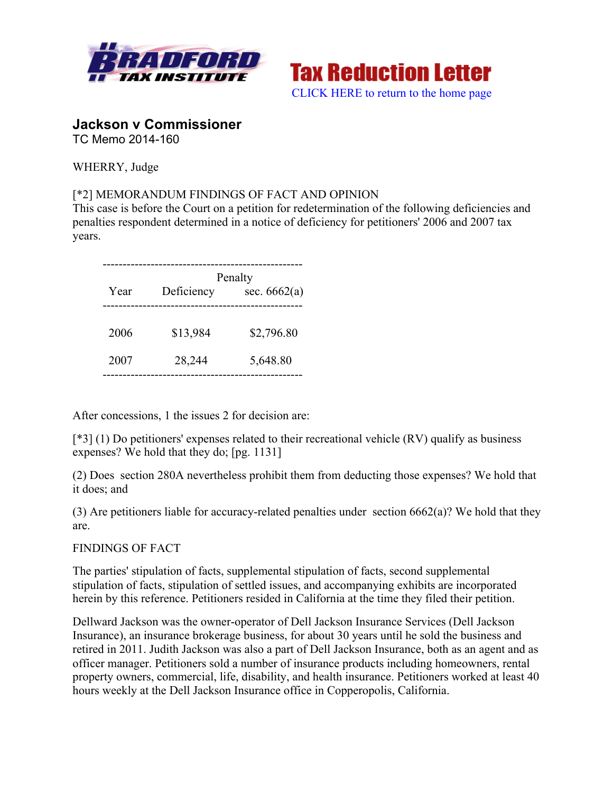



# **Jackson v Commissioner**

TC Memo 2014-160

WHERRY, Judge

## [\*2] MEMORANDUM FINDINGS OF FACT AND OPINION

This case is before the Court on a petition for redetermination of the following deficiencies and penalties respondent determined in a notice of deficiency for petitioners' 2006 and 2007 tax years.

|      | Penalty    |                |
|------|------------|----------------|
| Year | Deficiency | sec. $6662(a)$ |
|      |            |                |
| 2006 | \$13,984   | \$2,796.80     |
| 2007 | 28,244     | 5,648.80       |

After concessions, 1 the issues 2 for decision are:

[\*3] (1) Do petitioners' expenses related to their recreational vehicle (RV) qualify as business expenses? We hold that they do; [pg. 1131]

(2) Does section 280A nevertheless prohibit them from deducting those expenses? We hold that it does; and

(3) Are petitioners liable for accuracy-related penalties under section  $6662(a)$ ? We hold that they are.

FINDINGS OF FACT

The parties' stipulation of facts, supplemental stipulation of facts, second supplemental stipulation of facts, stipulation of settled issues, and accompanying exhibits are incorporated herein by this reference. Petitioners resided in California at the time they filed their petition.

Dellward Jackson was the owner-operator of Dell Jackson Insurance Services (Dell Jackson Insurance), an insurance brokerage business, for about 30 years until he sold the business and retired in 2011. Judith Jackson was also a part of Dell Jackson Insurance, both as an agent and as officer manager. Petitioners sold a number of insurance products including homeowners, rental property owners, commercial, life, disability, and health insurance. Petitioners worked at least 40 hours weekly at the Dell Jackson Insurance office in Copperopolis, California.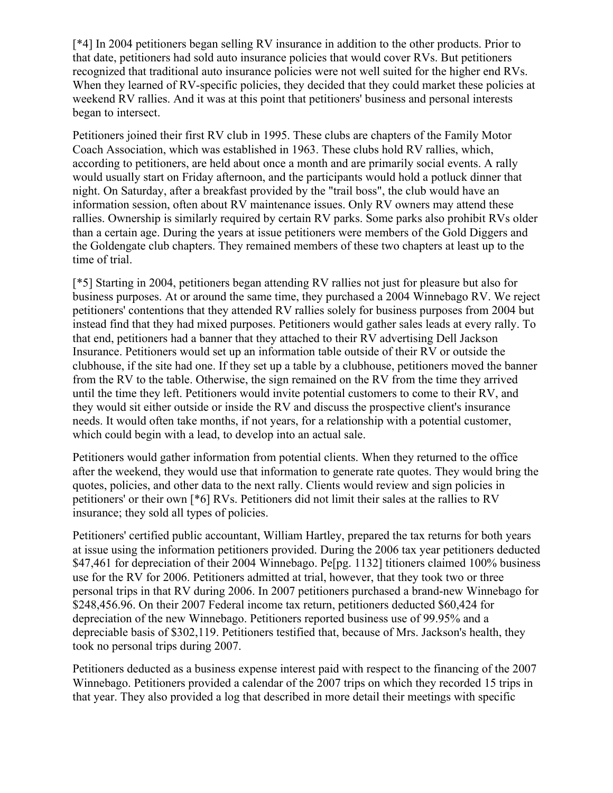[\*4] In 2004 petitioners began selling RV insurance in addition to the other products. Prior to that date, petitioners had sold auto insurance policies that would cover RVs. But petitioners recognized that traditional auto insurance policies were not well suited for the higher end RVs. When they learned of RV-specific policies, they decided that they could market these policies at weekend RV rallies. And it was at this point that petitioners' business and personal interests began to intersect.

Petitioners joined their first RV club in 1995. These clubs are chapters of the Family Motor Coach Association, which was established in 1963. These clubs hold RV rallies, which, according to petitioners, are held about once a month and are primarily social events. A rally would usually start on Friday afternoon, and the participants would hold a potluck dinner that night. On Saturday, after a breakfast provided by the "trail boss", the club would have an information session, often about RV maintenance issues. Only RV owners may attend these rallies. Ownership is similarly required by certain RV parks. Some parks also prohibit RVs older than a certain age. During the years at issue petitioners were members of the Gold Diggers and the Goldengate club chapters. They remained members of these two chapters at least up to the time of trial.

[\*5] Starting in 2004, petitioners began attending RV rallies not just for pleasure but also for business purposes. At or around the same time, they purchased a 2004 Winnebago RV. We reject petitioners' contentions that they attended RV rallies solely for business purposes from 2004 but instead find that they had mixed purposes. Petitioners would gather sales leads at every rally. To that end, petitioners had a banner that they attached to their RV advertising Dell Jackson Insurance. Petitioners would set up an information table outside of their RV or outside the clubhouse, if the site had one. If they set up a table by a clubhouse, petitioners moved the banner from the RV to the table. Otherwise, the sign remained on the RV from the time they arrived until the time they left. Petitioners would invite potential customers to come to their RV, and they would sit either outside or inside the RV and discuss the prospective client's insurance needs. It would often take months, if not years, for a relationship with a potential customer, which could begin with a lead, to develop into an actual sale.

Petitioners would gather information from potential clients. When they returned to the office after the weekend, they would use that information to generate rate quotes. They would bring the quotes, policies, and other data to the next rally. Clients would review and sign policies in petitioners' or their own [\*6] RVs. Petitioners did not limit their sales at the rallies to RV insurance; they sold all types of policies.

Petitioners' certified public accountant, William Hartley, prepared the tax returns for both years at issue using the information petitioners provided. During the 2006 tax year petitioners deducted \$47,461 for depreciation of their 2004 Winnebago. Pe[pg. 1132] titioners claimed 100% business use for the RV for 2006. Petitioners admitted at trial, however, that they took two or three personal trips in that RV during 2006. In 2007 petitioners purchased a brand-new Winnebago for \$248,456.96. On their 2007 Federal income tax return, petitioners deducted \$60,424 for depreciation of the new Winnebago. Petitioners reported business use of 99.95% and a depreciable basis of \$302,119. Petitioners testified that, because of Mrs. Jackson's health, they took no personal trips during 2007.

Petitioners deducted as a business expense interest paid with respect to the financing of the 2007 Winnebago. Petitioners provided a calendar of the 2007 trips on which they recorded 15 trips in that year. They also provided a log that described in more detail their meetings with specific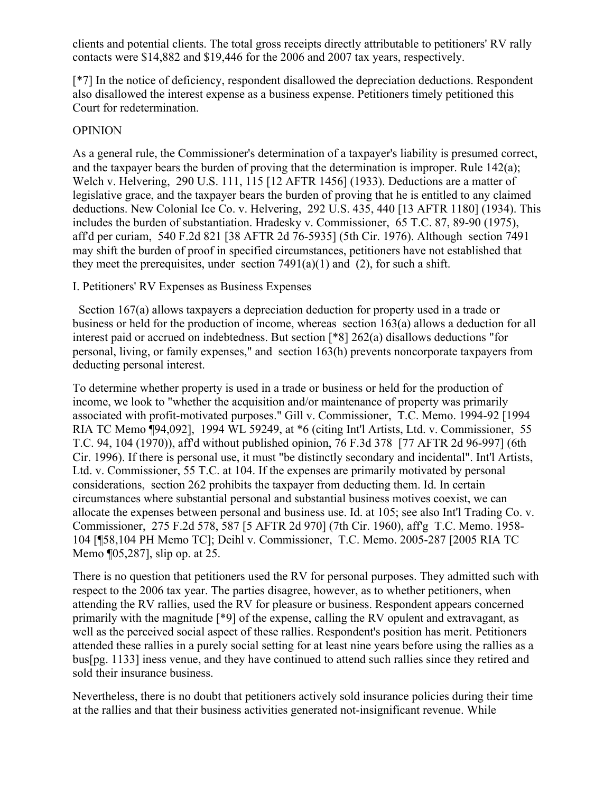clients and potential clients. The total gross receipts directly attributable to petitioners' RV rally contacts were \$14,882 and \$19,446 for the 2006 and 2007 tax years, respectively.

[\*7] In the notice of deficiency, respondent disallowed the depreciation deductions. Respondent also disallowed the interest expense as a business expense. Petitioners timely petitioned this Court for redetermination.

### OPINION

As a general rule, the Commissioner's determination of a taxpayer's liability is presumed correct, and the taxpayer bears the burden of proving that the determination is improper. Rule  $142(a)$ ; Welch v. Helvering, 290 U.S. 111, 115 [12 AFTR 1456] (1933). Deductions are a matter of legislative grace, and the taxpayer bears the burden of proving that he is entitled to any claimed deductions. New Colonial Ice Co. v. Helvering, 292 U.S. 435, 440 [13 AFTR 1180] (1934). This includes the burden of substantiation. Hradesky v. Commissioner, 65 T.C. 87, 89-90 (1975), aff'd per curiam, 540 F.2d 821 [38 AFTR 2d 76-5935] (5th Cir. 1976). Although section 7491 may shift the burden of proof in specified circumstances, petitioners have not established that they meet the prerequisites, under section  $7491(a)(1)$  and (2), for such a shift.

I. Petitioners' RV Expenses as Business Expenses

 Section 167(a) allows taxpayers a depreciation deduction for property used in a trade or business or held for the production of income, whereas section 163(a) allows a deduction for all interest paid or accrued on indebtedness. But section [\*8] 262(a) disallows deductions "for personal, living, or family expenses," and section 163(h) prevents noncorporate taxpayers from deducting personal interest.

To determine whether property is used in a trade or business or held for the production of income, we look to "whether the acquisition and/or maintenance of property was primarily associated with profit-motivated purposes." Gill v. Commissioner, T.C. Memo. 1994-92 [1994 RIA TC Memo ¶94,092], 1994 WL 59249, at \*6 (citing Int'l Artists, Ltd. v. Commissioner, 55 T.C. 94, 104 (1970)), aff'd without published opinion, 76 F.3d 378 [77 AFTR 2d 96-997] (6th Cir. 1996). If there is personal use, it must "be distinctly secondary and incidental". Int'l Artists, Ltd. v. Commissioner, 55 T.C. at 104. If the expenses are primarily motivated by personal considerations, section 262 prohibits the taxpayer from deducting them. Id. In certain circumstances where substantial personal and substantial business motives coexist, we can allocate the expenses between personal and business use. Id. at 105; see also Int'l Trading Co. v. Commissioner, 275 F.2d 578, 587 [5 AFTR 2d 970] (7th Cir. 1960), aff'g T.C. Memo. 1958- 104 [¶58,104 PH Memo TC]; Deihl v. Commissioner, T.C. Memo. 2005-287 [2005 RIA TC Memo ¶05,287], slip op. at 25.

There is no question that petitioners used the RV for personal purposes. They admitted such with respect to the 2006 tax year. The parties disagree, however, as to whether petitioners, when attending the RV rallies, used the RV for pleasure or business. Respondent appears concerned primarily with the magnitude [\*9] of the expense, calling the RV opulent and extravagant, as well as the perceived social aspect of these rallies. Respondent's position has merit. Petitioners attended these rallies in a purely social setting for at least nine years before using the rallies as a bus[pg. 1133] iness venue, and they have continued to attend such rallies since they retired and sold their insurance business.

Nevertheless, there is no doubt that petitioners actively sold insurance policies during their time at the rallies and that their business activities generated not-insignificant revenue. While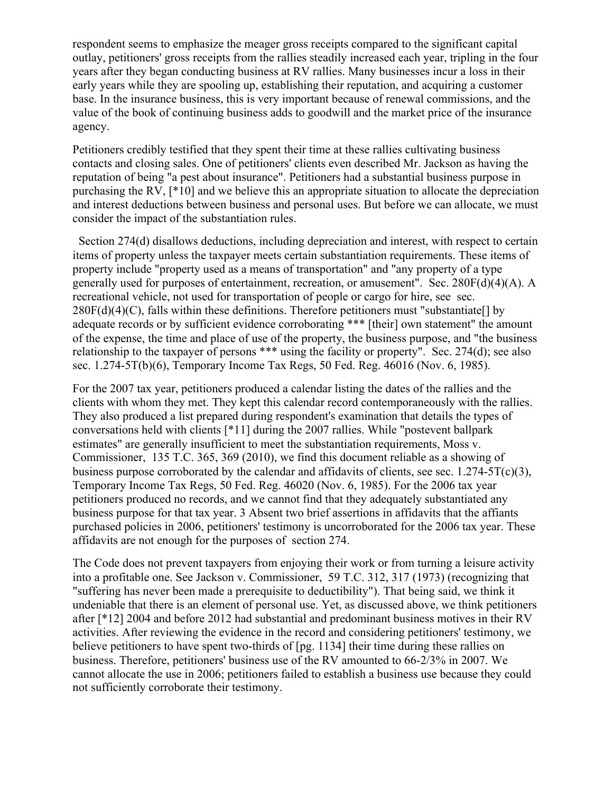respondent seems to emphasize the meager gross receipts compared to the significant capital outlay, petitioners' gross receipts from the rallies steadily increased each year, tripling in the four years after they began conducting business at RV rallies. Many businesses incur a loss in their early years while they are spooling up, establishing their reputation, and acquiring a customer base. In the insurance business, this is very important because of renewal commissions, and the value of the book of continuing business adds to goodwill and the market price of the insurance agency.

Petitioners credibly testified that they spent their time at these rallies cultivating business contacts and closing sales. One of petitioners' clients even described Mr. Jackson as having the reputation of being "a pest about insurance". Petitioners had a substantial business purpose in purchasing the RV, [\*10] and we believe this an appropriate situation to allocate the depreciation and interest deductions between business and personal uses. But before we can allocate, we must consider the impact of the substantiation rules.

 Section 274(d) disallows deductions, including depreciation and interest, with respect to certain items of property unless the taxpayer meets certain substantiation requirements. These items of property include "property used as a means of transportation" and "any property of a type generally used for purposes of entertainment, recreation, or amusement". Sec. 280F(d)(4)(A). A recreational vehicle, not used for transportation of people or cargo for hire, see sec.  $280F(d)(4)(C)$ , falls within these definitions. Therefore petitioners must "substantiate[] by adequate records or by sufficient evidence corroborating \*\*\* [their] own statement" the amount of the expense, the time and place of use of the property, the business purpose, and "the business relationship to the taxpayer of persons \*\*\* using the facility or property". Sec. 274(d); see also sec. 1.274-5T(b)(6), Temporary Income Tax Regs, 50 Fed. Reg. 46016 (Nov. 6, 1985).

For the 2007 tax year, petitioners produced a calendar listing the dates of the rallies and the clients with whom they met. They kept this calendar record contemporaneously with the rallies. They also produced a list prepared during respondent's examination that details the types of conversations held with clients [\*11] during the 2007 rallies. While "postevent ballpark estimates" are generally insufficient to meet the substantiation requirements, Moss v. Commissioner, 135 T.C. 365, 369 (2010), we find this document reliable as a showing of business purpose corroborated by the calendar and affidavits of clients, see sec.  $1.274 - 5T(c)(3)$ , Temporary Income Tax Regs, 50 Fed. Reg. 46020 (Nov. 6, 1985). For the 2006 tax year petitioners produced no records, and we cannot find that they adequately substantiated any business purpose for that tax year. 3 Absent two brief assertions in affidavits that the affiants purchased policies in 2006, petitioners' testimony is uncorroborated for the 2006 tax year. These affidavits are not enough for the purposes of section 274.

The Code does not prevent taxpayers from enjoying their work or from turning a leisure activity into a profitable one. See Jackson v. Commissioner, 59 T.C. 312, 317 (1973) (recognizing that "suffering has never been made a prerequisite to deductibility"). That being said, we think it undeniable that there is an element of personal use. Yet, as discussed above, we think petitioners after [\*12] 2004 and before 2012 had substantial and predominant business motives in their RV activities. After reviewing the evidence in the record and considering petitioners' testimony, we believe petitioners to have spent two-thirds of [pg. 1134] their time during these rallies on business. Therefore, petitioners' business use of the RV amounted to 66-2/3% in 2007. We cannot allocate the use in 2006; petitioners failed to establish a business use because they could not sufficiently corroborate their testimony.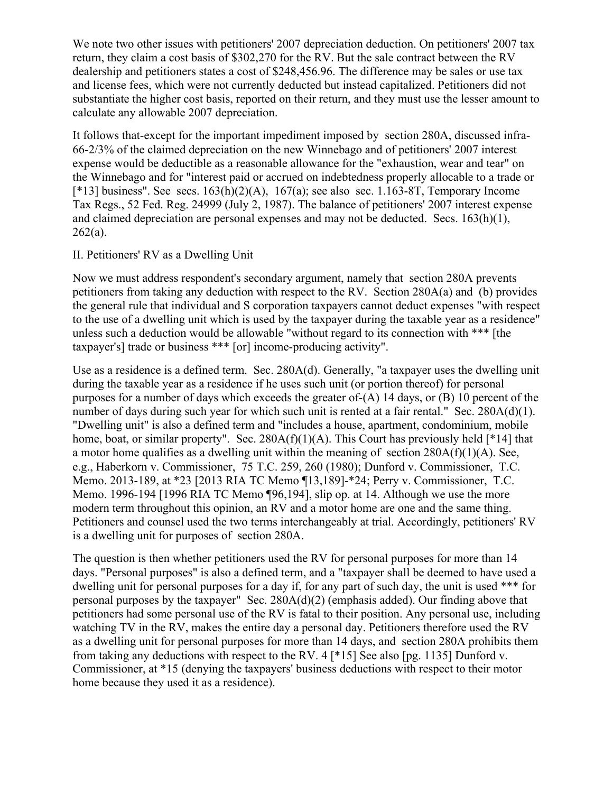We note two other issues with petitioners' 2007 depreciation deduction. On petitioners' 2007 tax return, they claim a cost basis of \$302,270 for the RV. But the sale contract between the RV dealership and petitioners states a cost of \$248,456.96. The difference may be sales or use tax and license fees, which were not currently deducted but instead capitalized. Petitioners did not substantiate the higher cost basis, reported on their return, and they must use the lesser amount to calculate any allowable 2007 depreciation.

It follows that-except for the important impediment imposed by section 280A, discussed infra-66-2/3% of the claimed depreciation on the new Winnebago and of petitioners' 2007 interest expense would be deductible as a reasonable allowance for the "exhaustion, wear and tear" on the Winnebago and for "interest paid or accrued on indebtedness properly allocable to a trade or  $[*13]$  business". See secs.  $163(h)(2)(A)$ ,  $167(a)$ ; see also sec. 1.163-8T, Temporary Income Tax Regs., 52 Fed. Reg. 24999 (July 2, 1987). The balance of petitioners' 2007 interest expense and claimed depreciation are personal expenses and may not be deducted. Secs.  $163(h)(1)$ ,  $262(a)$ .

### II. Petitioners' RV as a Dwelling Unit

Now we must address respondent's secondary argument, namely that section 280A prevents petitioners from taking any deduction with respect to the RV. Section 280A(a) and (b) provides the general rule that individual and S corporation taxpayers cannot deduct expenses "with respect to the use of a dwelling unit which is used by the taxpayer during the taxable year as a residence" unless such a deduction would be allowable "without regard to its connection with \*\*\* [the taxpayer's] trade or business \*\*\* [or] income-producing activity".

Use as a residence is a defined term. Sec. 280A(d). Generally, "a taxpayer uses the dwelling unit during the taxable year as a residence if he uses such unit (or portion thereof) for personal purposes for a number of days which exceeds the greater of-(A) 14 days, or (B) 10 percent of the number of days during such year for which such unit is rented at a fair rental." Sec. 280A(d)(1). "Dwelling unit" is also a defined term and "includes a house, apartment, condominium, mobile home, boat, or similar property". Sec.  $280A(f)(1)(A)$ . This Court has previously held [\*14] that a motor home qualifies as a dwelling unit within the meaning of section 280A(f)(1)(A). See, e.g., Haberkorn v. Commissioner, 75 T.C. 259, 260 (1980); Dunford v. Commissioner, T.C. Memo. 2013-189, at \*23 [2013 RIA TC Memo ¶13,189]-\*24; Perry v. Commissioner, T.C. Memo. 1996-194 [1996 RIA TC Memo ¶96,194], slip op. at 14. Although we use the more modern term throughout this opinion, an RV and a motor home are one and the same thing. Petitioners and counsel used the two terms interchangeably at trial. Accordingly, petitioners' RV is a dwelling unit for purposes of section 280A.

The question is then whether petitioners used the RV for personal purposes for more than 14 days. "Personal purposes" is also a defined term, and a "taxpayer shall be deemed to have used a dwelling unit for personal purposes for a day if, for any part of such day, the unit is used \*\*\* for personal purposes by the taxpayer" Sec. 280A(d)(2) (emphasis added). Our finding above that petitioners had some personal use of the RV is fatal to their position. Any personal use, including watching TV in the RV, makes the entire day a personal day. Petitioners therefore used the RV as a dwelling unit for personal purposes for more than 14 days, and section 280A prohibits them from taking any deductions with respect to the RV. 4 [\*15] See also [pg. 1135] Dunford v. Commissioner, at \*15 (denying the taxpayers' business deductions with respect to their motor home because they used it as a residence).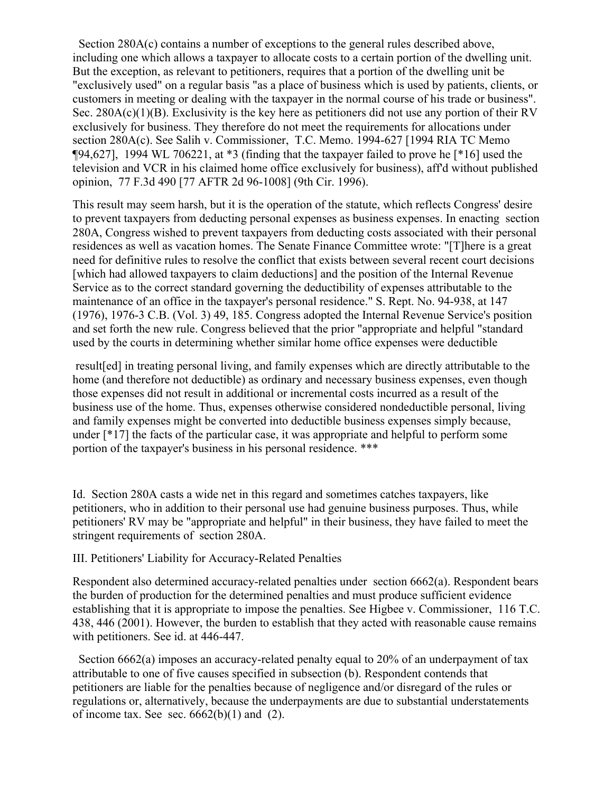Section 280A(c) contains a number of exceptions to the general rules described above, including one which allows a taxpayer to allocate costs to a certain portion of the dwelling unit. But the exception, as relevant to petitioners, requires that a portion of the dwelling unit be "exclusively used" on a regular basis "as a place of business which is used by patients, clients, or customers in meeting or dealing with the taxpayer in the normal course of his trade or business". Sec.  $280A(c)(1)(B)$ . Exclusivity is the key here as petitioners did not use any portion of their RV exclusively for business. They therefore do not meet the requirements for allocations under section 280A(c). See Salih v. Commissioner, T.C. Memo. 1994-627 [1994 RIA TC Memo  $[94,627]$ , 1994 WL 706221, at  $*3$  (finding that the taxpayer failed to prove he  $[*16]$  used the television and VCR in his claimed home office exclusively for business), aff'd without published opinion, 77 F.3d 490 [77 AFTR 2d 96-1008] (9th Cir. 1996).

This result may seem harsh, but it is the operation of the statute, which reflects Congress' desire to prevent taxpayers from deducting personal expenses as business expenses. In enacting section 280A, Congress wished to prevent taxpayers from deducting costs associated with their personal residences as well as vacation homes. The Senate Finance Committee wrote: "[T]here is a great need for definitive rules to resolve the conflict that exists between several recent court decisions [which had allowed taxpayers to claim deductions] and the position of the Internal Revenue Service as to the correct standard governing the deductibility of expenses attributable to the maintenance of an office in the taxpayer's personal residence." S. Rept. No. 94-938, at 147 (1976), 1976-3 C.B. (Vol. 3) 49, 185. Congress adopted the Internal Revenue Service's position and set forth the new rule. Congress believed that the prior "appropriate and helpful "standard used by the courts in determining whether similar home office expenses were deductible

result[ed] in treating personal living, and family expenses which are directly attributable to the home (and therefore not deductible) as ordinary and necessary business expenses, even though those expenses did not result in additional or incremental costs incurred as a result of the business use of the home. Thus, expenses otherwise considered nondeductible personal, living and family expenses might be converted into deductible business expenses simply because, under [\*17] the facts of the particular case, it was appropriate and helpful to perform some portion of the taxpayer's business in his personal residence. \*\*\*

Id. Section 280A casts a wide net in this regard and sometimes catches taxpayers, like petitioners, who in addition to their personal use had genuine business purposes. Thus, while petitioners' RV may be "appropriate and helpful" in their business, they have failed to meet the stringent requirements of section 280A.

#### III. Petitioners' Liability for Accuracy-Related Penalties

Respondent also determined accuracy-related penalties under section 6662(a). Respondent bears the burden of production for the determined penalties and must produce sufficient evidence establishing that it is appropriate to impose the penalties. See Higbee v. Commissioner, 116 T.C. 438, 446 (2001). However, the burden to establish that they acted with reasonable cause remains with petitioners. See id. at 446-447.

 Section 6662(a) imposes an accuracy-related penalty equal to 20% of an underpayment of tax attributable to one of five causes specified in subsection (b). Respondent contends that petitioners are liable for the penalties because of negligence and/or disregard of the rules or regulations or, alternatively, because the underpayments are due to substantial understatements of income tax. See sec.  $6662(b)(1)$  and (2).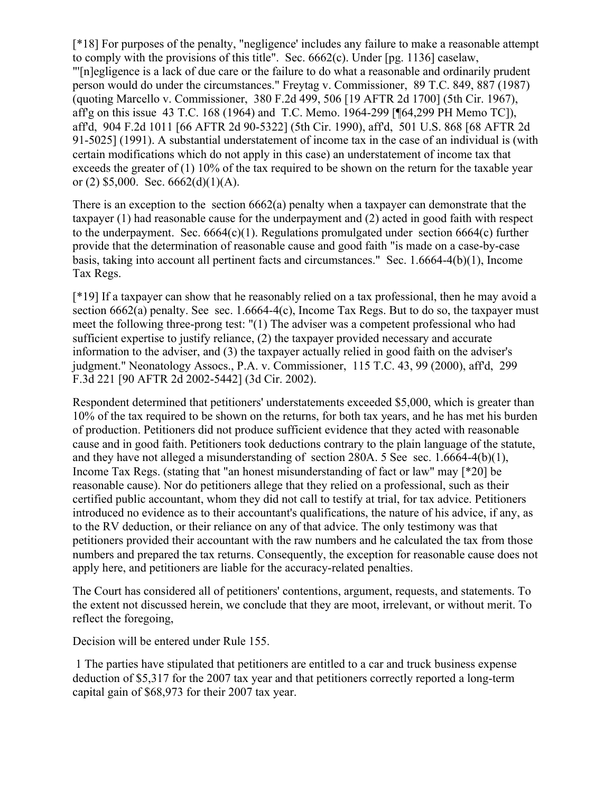[\*18] For purposes of the penalty, "negligence' includes any failure to make a reasonable attempt to comply with the provisions of this title". Sec. 6662(c). Under [pg. 1136] caselaw, "'[n]egligence is a lack of due care or the failure to do what a reasonable and ordinarily prudent person would do under the circumstances." Freytag v. Commissioner, 89 T.C. 849, 887 (1987) (quoting Marcello v. Commissioner, 380 F.2d 499, 506 [19 AFTR 2d 1700] (5th Cir. 1967), aff'g on this issue 43 T.C. 168 (1964) and T.C. Memo. 1964-299 [¶64,299 PH Memo TC]), aff'd, 904 F.2d 1011 [66 AFTR 2d 90-5322] (5th Cir. 1990), aff'd, 501 U.S. 868 [68 AFTR 2d 91-5025] (1991). A substantial understatement of income tax in the case of an individual is (with certain modifications which do not apply in this case) an understatement of income tax that exceeds the greater of (1) 10% of the tax required to be shown on the return for the taxable year or (2)  $$5,000$ . Sec.  $6662(d)(1)(A)$ .

There is an exception to the section 6662(a) penalty when a taxpayer can demonstrate that the taxpayer (1) had reasonable cause for the underpayment and (2) acted in good faith with respect to the underpayment. Sec.  $6664(c)(1)$ . Regulations promulgated under section  $6664(c)$  further provide that the determination of reasonable cause and good faith "is made on a case-by-case basis, taking into account all pertinent facts and circumstances." Sec. 1.6664-4(b)(1), Income Tax Regs.

[\*19] If a taxpayer can show that he reasonably relied on a tax professional, then he may avoid a section 6662(a) penalty. See sec. 1.6664-4(c), Income Tax Regs. But to do so, the taxpayer must meet the following three-prong test: "(1) The adviser was a competent professional who had sufficient expertise to justify reliance, (2) the taxpayer provided necessary and accurate information to the adviser, and (3) the taxpayer actually relied in good faith on the adviser's judgment." Neonatology Assocs., P.A. v. Commissioner, 115 T.C. 43, 99 (2000), aff'd, 299 F.3d 221 [90 AFTR 2d 2002-5442] (3d Cir. 2002).

Respondent determined that petitioners' understatements exceeded \$5,000, which is greater than 10% of the tax required to be shown on the returns, for both tax years, and he has met his burden of production. Petitioners did not produce sufficient evidence that they acted with reasonable cause and in good faith. Petitioners took deductions contrary to the plain language of the statute, and they have not alleged a misunderstanding of section 280A. 5 See sec. 1.6664-4(b)(1), Income Tax Regs. (stating that "an honest misunderstanding of fact or law" may [\*20] be reasonable cause). Nor do petitioners allege that they relied on a professional, such as their certified public accountant, whom they did not call to testify at trial, for tax advice. Petitioners introduced no evidence as to their accountant's qualifications, the nature of his advice, if any, as to the RV deduction, or their reliance on any of that advice. The only testimony was that petitioners provided their accountant with the raw numbers and he calculated the tax from those numbers and prepared the tax returns. Consequently, the exception for reasonable cause does not apply here, and petitioners are liable for the accuracy-related penalties.

The Court has considered all of petitioners' contentions, argument, requests, and statements. To the extent not discussed herein, we conclude that they are moot, irrelevant, or without merit. To reflect the foregoing,

Decision will be entered under Rule 155.

1 The parties have stipulated that petitioners are entitled to a car and truck business expense deduction of \$5,317 for the 2007 tax year and that petitioners correctly reported a long-term capital gain of \$68,973 for their 2007 tax year.